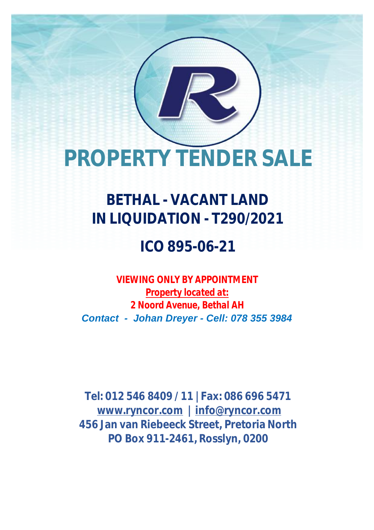# **PROPERTY TENDER SALE**

## **BETHAL - VACANT LAND IN LIQUIDATION - T290/2021**

### **ICO 895-06-21**

*VIEWING ONLY BY APPOINTMENT Property located at: 2 Noord Avenue, Bethal AH Contact - Johan Dreyer - Cell: 078 355 3984*

**Tel: 012 546 8409 / 11 | Fax: 086 696 5471 [www.ryncor.com](http://www.ryncor.com) | [info@ryncor.com](mailto:info@ryncor.com) 456 Jan van Riebeeck Street, Pretoria North PO Box 911-2461, Rosslyn, 0200**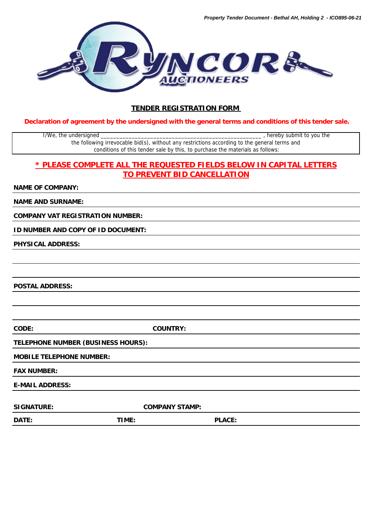

#### **TENDER REGISTRATION FORM**

**Declaration of agreement by the undersigned with the general terms and conditions of this tender sale.**

I/We, the undersigned \_\_\_\_\_\_\_\_\_\_\_\_\_\_\_\_\_\_\_\_\_\_\_\_\_\_\_\_\_\_\_\_\_\_\_\_\_\_\_\_\_\_\_\_\_\_\_\_\_\_\_\_ , hereby submit to you the the following irrevocable bid(s), without any restrictions according to the general terms and conditions of this tender sale by this, to purchase the materials as follows:

#### **\* PLEASE COMPLETE ALL THE REQUESTED FIELDS BELOW IN CAPITAL LETTERS TO PREVENT BID CANCELLATION**

**NAME OF COMPANY:**

**NAME AND SURNAME:**

**COMPANY VAT REGISTRATION NUMBER:**

**ID NUMBER AND COPY OF ID DOCUMENT:**

**PHYSICAL ADDRESS:**

**POSTAL ADDRESS:**

**CODE: COUNTRY:**

**TELEPHONE NUMBER (BUSINESS HOURS):**

#### **MOBILE TELEPHONE NUMBER:**

**FAX NUMBER:**

**E-MAIL ADDRESS:** 

SIGNATURE: COMPANY STAMP:

**DATE: TIME: PLACE:**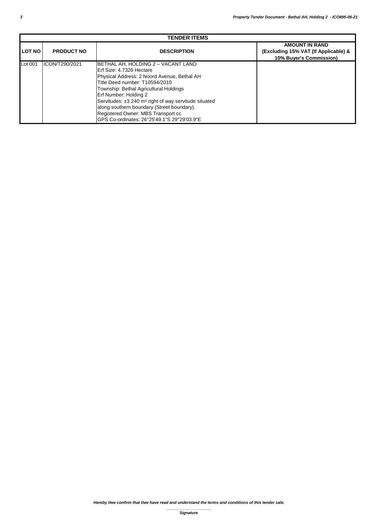| <b>TENDER ITEMS</b> |                   |                                                                                                                                                                                                                                                                                                                                                                                                                            |                                                                                          |  |  |  |
|---------------------|-------------------|----------------------------------------------------------------------------------------------------------------------------------------------------------------------------------------------------------------------------------------------------------------------------------------------------------------------------------------------------------------------------------------------------------------------------|------------------------------------------------------------------------------------------|--|--|--|
| <b>LOT NO</b>       | <b>PRODUCT NO</b> | <b>DESCRIPTION</b>                                                                                                                                                                                                                                                                                                                                                                                                         | <b>AMOUNT IN RAND</b><br>(Excluding 15% VAT (If Applicable) &<br>10% Buyer's Commission) |  |  |  |
| Lot 001             | ICON/T290/2021    | BETHAL AH, HOLDING 2 - VACANT LAND<br>Erf Size: 4.7326 Hectare<br>Physical Address: 2 Noord Avenue, Bethal AH<br>Title Deed number: T10594/2010<br>Township: Bethal Agricultural Holdings<br>Erf Number: Holding 2<br>Servitudes: ±3 240 m <sup>2</sup> right of way servitude situated<br>along southern boundary (Street boundary).<br>Registered Owner: MBS Transport cc<br>GPS Co-ordinates: 26°25'49.1"S 29°29'03.9"E |                                                                                          |  |  |  |

*\_\_\_\_\_\_\_\_\_\_\_\_\_\_\_\_\_\_\_\_ Signature*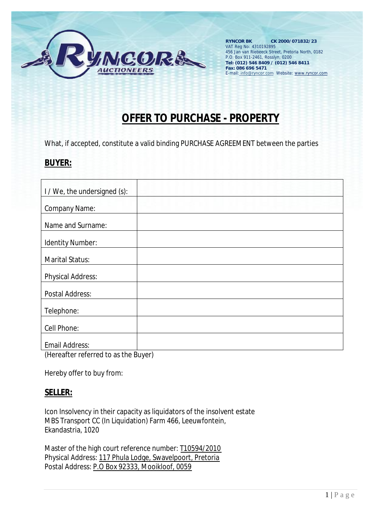

### **OFFER TO PURCHASE - PROPERTY**

What, if accepted, constitute a valid binding PURCHASE AGREEMENT between the parties

#### **BUYER:**

| I / We, the undersigned (s):                     |           |
|--------------------------------------------------|-----------|
|                                                  |           |
| <b>Company Name:</b>                             |           |
| <b>Name and Surname:</b>                         |           |
| <b>Identity Number:</b>                          |           |
| <b>Marital Status:</b>                           |           |
| <b>Physical Address:</b>                         |           |
| <b>Postal Address:</b>                           |           |
| <b>Telephone:</b>                                |           |
| <b>Cell Phone:</b>                               |           |
| <b>Email Address:</b><br>_______________________ | $\bullet$ |

(Hereafter referred to as the Buyer)

Hereby offer to buy from:

#### **SELLER:**

Icon Insolvency in their capacity as liquidators of the insolvent estate MBS Transport CC (In Liquidation) Farm 466, Leeuwfontein, Ekandastria, 1020

Master of the high court reference number: T10594/2010 Physical Address: 117 Phula Lodge, Swavelpoort, Pretoria Postal Address: P.O Box 92333, Mooikloof, 0059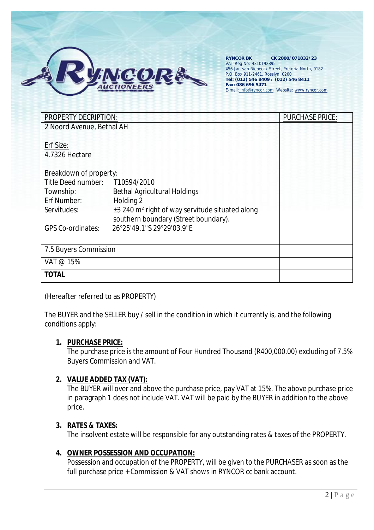

| <b>PROPERTY DECRIPTION:</b>   | <b>PURCHASE PRICE:</b>                                                                              |  |
|-------------------------------|-----------------------------------------------------------------------------------------------------|--|
| 2 Noord Avenue, Bethal AH     |                                                                                                     |  |
| <b>Erf Size:</b>              |                                                                                                     |  |
| <b>4.7326 Hectare</b>         |                                                                                                     |  |
| <b>Breakdown of property:</b> |                                                                                                     |  |
| <b>Title Deed number:</b>     | T10594/2010                                                                                         |  |
| <b>Township:</b>              | <b>Bethal Agricultural Holdings</b>                                                                 |  |
| <b>Erf Number:</b>            | <b>Holding 2</b>                                                                                    |  |
| <b>Servitudes:</b>            | ±3 240 m <sup>2</sup> right of way servitude situated along<br>southern boundary (Street boundary). |  |
| <b>GPS Co-ordinates:</b>      | 26°25'49.1"S 29°29'03.9"E                                                                           |  |
| <b>7.5 Buyers Commission</b>  |                                                                                                     |  |
| <b>VAT @ 15%</b>              |                                                                                                     |  |
| <b>TOTAL</b>                  |                                                                                                     |  |

#### (Hereafter referred to as PROPERTY)

The BUYER and the SELLER buy / sell in the condition in which it currently is, and the following conditions apply:

#### **1. PURCHASE PRICE:**

The purchase price is the amount of Four Hundred Thousand (R400,000.00) excluding of 7.5% Buyers Commission and VAT.

#### **2. VALUE ADDED TAX (VAT):**

The BUYER will over and above the purchase price, pay VAT at 15%. The above purchase price in paragraph 1 does not include VAT. VAT will be paid by the BUYER in addition to the above price.

#### **3. RATES & TAXES:**

The insolvent estate will be responsible for any outstanding rates & taxes of the PROPERTY.

#### **4. OWNER POSSESSION AND OCCUPATION:**  Possession and occupation of the PROPERTY, will be given to the PURCHASER as soon as the full purchase price + Commission & VAT shows in RYNCOR cc bank account.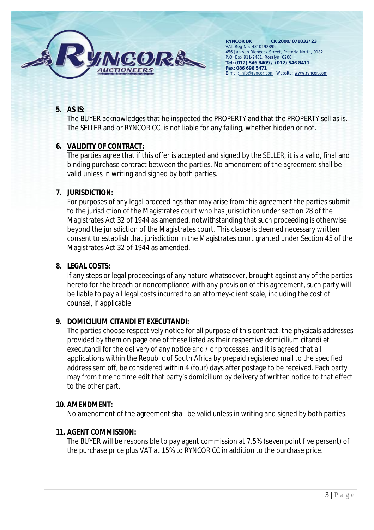

#### **5. AS IS:**

The BUYER acknowledges that he inspected the PROPERTY and that the PROPERTY sell as is. The SELLER and or RYNCOR CC, is not liable for any failing, whether hidden or not.

#### **6. VALIDITY OF CONTRACT:**

The parties agree that if this offer is accepted and signed by the SELLER, it is a valid, final and binding purchase contract between the parties. No amendment of the agreement shall be valid unless in writing and signed by both parties.

#### **7. JURISDICTION:**

For purposes of any legal proceedings that may arise from this agreement the parties submit to the jurisdiction of the Magistrates court who has jurisdiction under section 28 of the Magistrates Act 32 of 1944 as amended, notwithstanding that such proceeding is otherwise beyond the jurisdiction of the Magistrates court. This clause is deemed necessary written consent to establish that jurisdiction in the Magistrates court granted under Section 45 of the Magistrates Act 32 of 1944 as amended.

#### **8. LEGAL COSTS:**

If any steps or legal proceedings of any nature whatsoever, brought against any of the parties hereto for the breach or noncompliance with any provision of this agreement, such party will be liable to pay all legal costs incurred to an attorney-client scale, including the cost of counsel, if applicable.

#### **9. DOMICILIUM CITANDI ET EXECUTANDI:**

The parties choose respectively notice for all purpose of this contract, the physicals addresses provided by them on page one of these listed as their respective domicilium citandi et executandi for the delivery of any notice and / or processes, and it is agreed that all applications within the Republic of South Africa by prepaid registered mail to the specified address sent off, be considered within 4 (four) days after postage to be received. Each party may from time to time edit that party's domicilium by delivery of written notice to that effect to the other part.

#### **10. AMENDMENT:**

No amendment of the agreement shall be valid unless in writing and signed by both parties.

#### **11. AGENT COMMISSION:**

The BUYER will be responsible to pay agent commission at 7.5% (seven point five persent) of the purchase price plus VAT at 15% to RYNCOR CC in addition to the purchase price.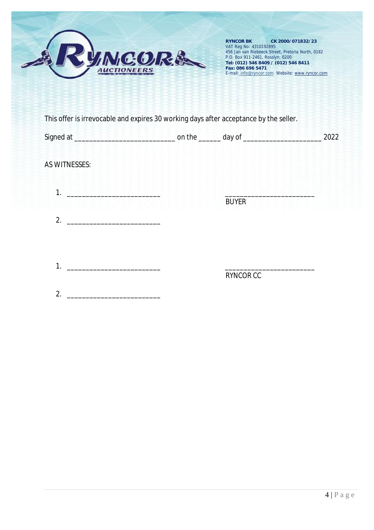

|                      |                  | 2022 |
|----------------------|------------------|------|
| <b>AS WITNESSES:</b> |                  |      |
|                      | <b>BUYER</b>     |      |
| 2.                   |                  |      |
| 1.                   |                  |      |
|                      | <b>RYNCOR CC</b> |      |
| 2.                   |                  |      |